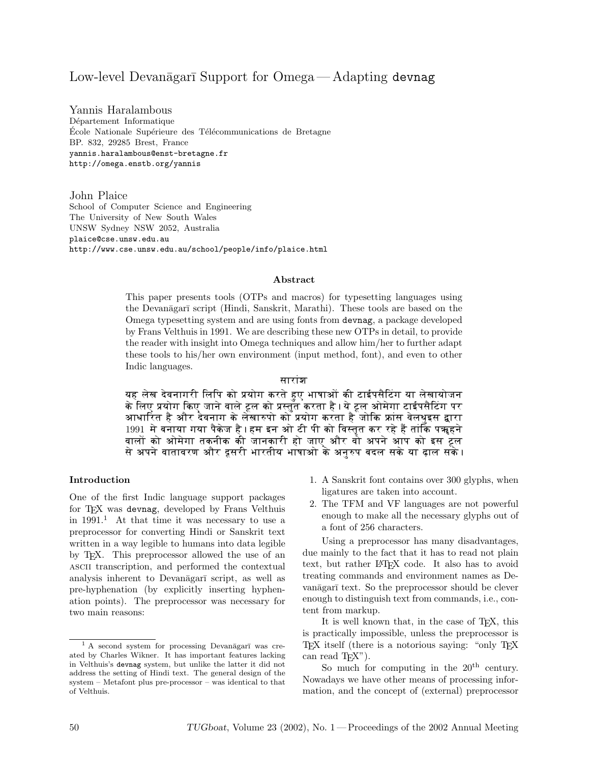# Low-level Devanāgarī Support for Omega—Adapting devnag

Yannis Haralambous Département Informatique École Nationale Supérieure des Télécommunications de Bretagne BP. 832, 29285 Brest, France yannis.haralambous@enst-bretagne.fr http://omega.enstb.org/yannis

John Plaice School of Computer Science and Engineering The University of New South Wales UNSW Sydney NSW 2052, Australia plaice@cse.unsw.edu.au http://www.cse.unsw.edu.au/school/people/info/plaice.html

#### Abstract

This paper presents tools (OTPs and macros) for typesetting languages using the Devanāgarī script (Hindi, Sanskrit, Marathi). These tools are based on the Omega typesetting system and are using fonts from devnag, a package developed by Frans Velthuis in 1991. We are describing these new OTPs in detail, to provide the reader with insight into Omega techniques and allow him/her to further adapt these tools to his/her own environment (input method, font), and even to other Indic languages.

#### सारांश

यह लेख देवनागरी लिपि को प्रयोग करते हए भाषाओं की टाईपसैटिंग या लेखायोजन के लिए प्रयोग किए जाने वाले ट्रल को प्रस्तुत करता है । ये ट्रल ओमेगा टाईपसैटिंग पर आधारित है और दैवनाग के लेखारुपो को प्रयोग करता है जोकि फ्रांस वेलथुइस द्वारा 1991 मे बनाया गया पैकेज है । हम इन ओ टी पी को विस्तृत कर रहे हैं तांकि पॠहने वालों को ओमेगा तकनीक की जानकारी हो जाए और वो अपने आप को इस ट्रल से अपने वातावरण और दूसरी भारतीय भाषाओ के अनुरुप बदल सके या <mark>दाल सके</mark> ।

#### Introduction

One of the first Indic language support packages for T<sub>F</sub>X was devnag, developed by Frans Velthuis in  $1991<sup>1</sup>$  At that time it was necessary to use a preprocessor for converting Hindi or Sanskrit text written in a way legible to humans into data legible by TEX. This preprocessor allowed the use of an ascii transcription, and performed the contextual analysis inherent to Devanagari script, as well as pre-hyphenation (by explicitly inserting hyphenation points). The preprocessor was necessary for two main reasons:

- 1. A Sanskrit font contains over 300 glyphs, when ligatures are taken into account.
- 2. The TFM and VF languages are not powerful enough to make all the necessary glyphs out of a font of 256 characters.

Using a preprocessor has many disadvantages, due mainly to the fact that it has to read not plain text, but rather LAT<sub>F</sub>X code. It also has to avoid treating commands and environment names as Devanāgarī text. So the preprocessor should be clever enough to distinguish text from commands, i.e., content from markup.

It is well known that, in the case of TEX, this is practically impossible, unless the preprocessor is TEX itself (there is a notorious saying: "only TEX") can read  $T_FX$ ").

So much for computing in the  $20<sup>th</sup>$  century. Nowadays we have other means of processing information, and the concept of (external) preprocessor

 $<sup>1</sup>$  A second system for processing Devanagari was cre-</sup> ated by Charles Wikner. It has important features lacking in Velthuis's devnag system, but unlike the latter it did not address the setting of Hindi text. The general design of the system – Metafont plus pre-processor – was identical to that of Velthuis.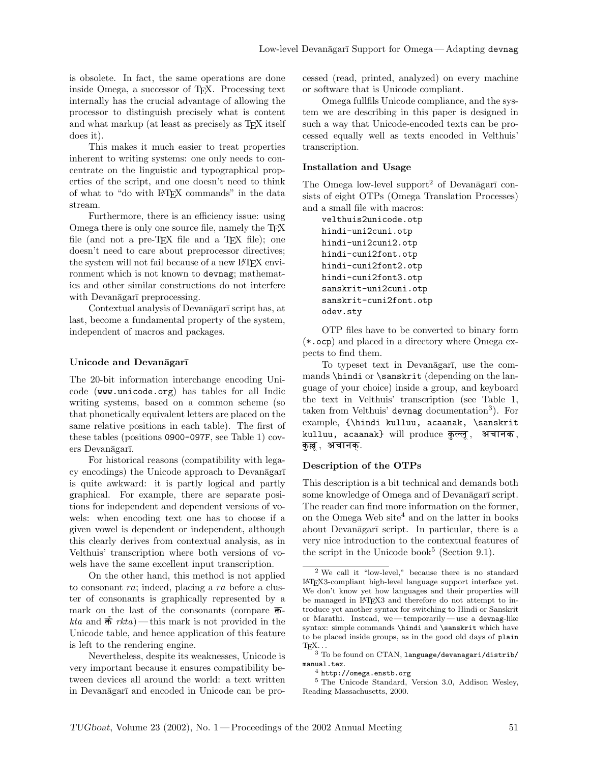is obsolete. In fact, the same operations are done inside Omega, a successor of TEX. Processing text internally has the crucial advantage of allowing the processor to distinguish precisely what is content and what markup (at least as precisely as T<sub>EX</sub> itself does it).

This makes it much easier to treat properties inherent to writing systems: one only needs to concentrate on the linguistic and typographical properties of the script, and one doesn't need to think of what to "do with LATEX commands" in the data stream.

Furthermore, there is an efficiency issue: using Omega there is only one source file, namely the TEX file (and not a pre-T<sub>E</sub>X file and a T<sub>E</sub>X file); one doesn't need to care about preprocessor directives; the system will not fail because of a new LAT<sub>EX</sub> environment which is not known to devnag; mathematics and other similar constructions do not interfere with Devanāgarī preprocessing.

Contextual analysis of Devanāgarī script has, at last, become a fundamental property of the system, independent of macros and packages.

### Unicode and Devanāgarī

The 20-bit information interchange encoding Unicode (www.unicode.org) has tables for all Indic writing systems, based on a common scheme (so that phonetically equivalent letters are placed on the same relative positions in each table). The first of these tables (positions 0900-097F, see Table 1) covers Devanāgarī.

For historical reasons (compatibility with legacy encodings) the Unicode approach to Devanāgarī is quite awkward: it is partly logical and partly graphical. For example, there are separate positions for independent and dependent versions of vowels: when encoding text one has to choose if a given vowel is dependent or independent, although this clearly derives from contextual analysis, as in Velthuis' transcription where both versions of vowels have the same excellent input transcription.

On the other hand, this method is not applied to consonant ra; indeed, placing a ra before a cluster of consonants is graphically represented by a mark on the last of the consonants (compare  $\overline{\uparrow}$ *kta* and  $\hat{\mathbf{\pi}}$  *rkta*)— this mark is not provided in the Unicode table, and hence application of this feature is left to the rendering engine.

Nevertheless, despite its weaknesses, Unicode is very important because it ensures compatibility between devices all around the world: a text written in Devanāgarī and encoded in Unicode can be processed (read, printed, analyzed) on every machine or software that is Unicode compliant.

Omega fullfils Unicode compliance, and the system we are describing in this paper is designed in such a way that Unicode-encoded texts can be processed equally well as texts encoded in Velthuis' transcription.

#### Installation and Usage

The Omega low-level support<sup>2</sup> of Devanagari consists of eight OTPs (Omega Translation Processes) and a small file with macros:

velthuis2unicode.otp hindi-uni2cuni.otp hindi-uni2cuni2.otp hindi-cuni2font.otp hindi-cuni2font2.otp hindi-cuni2font3.otp sanskrit-uni2cuni.otp sanskrit-cuni2font.otp odev.sty

OTP files have to be converted to binary form (\*.ocp) and placed in a directory where Omega expects to find them.

To typeset text in Devanāgarī, use the commands \hindi or \sanskrit (depending on the language of your choice) inside a group, and keyboard the text in Velthuis' transcription (see Table 1, taken from Velthuis' devnag documentation<sup>3</sup>). For example, {\hindi kulluu, acaanak, \sanskrit kulluu, acaanak} will produce कुल्लू, अचानक, कुल्लू , अचानक्.

## Description of the OTPs

This description is a bit technical and demands both some knowledge of Omega and of Devanāgarī script. The reader can find more information on the former, on the Omega Web site<sup>4</sup> and on the latter in books about Devanāgarī script. In particular, there is a very nice introduction to the contextual features of the script in the Unicode book<sup>5</sup> (Section 9.1).

<sup>2</sup> We call it "low-level," because there is no standard LATEX3-compliant high-level language support interface yet. We don't know yet how languages and their properties will be managed in LATEX3 and therefore do not attempt to introduce yet another syntax for switching to Hindi or Sanskrit or Marathi. Instead, we— temporarily — use a devnag-like syntax: simple commands \hindi and \sanskrit which have to be placed inside groups, as in the good old days of plain  $T_{\text{E}}\text{X} \dots$ 

 $^3$  To be found on CTAN, language/devanagari/distrib/  $\,$ manual.tex.

<sup>4</sup> http://omega.enstb.org

<sup>5</sup> The Unicode Standard, Version 3.0, Addison Wesley, Reading Massachusetts, 2000.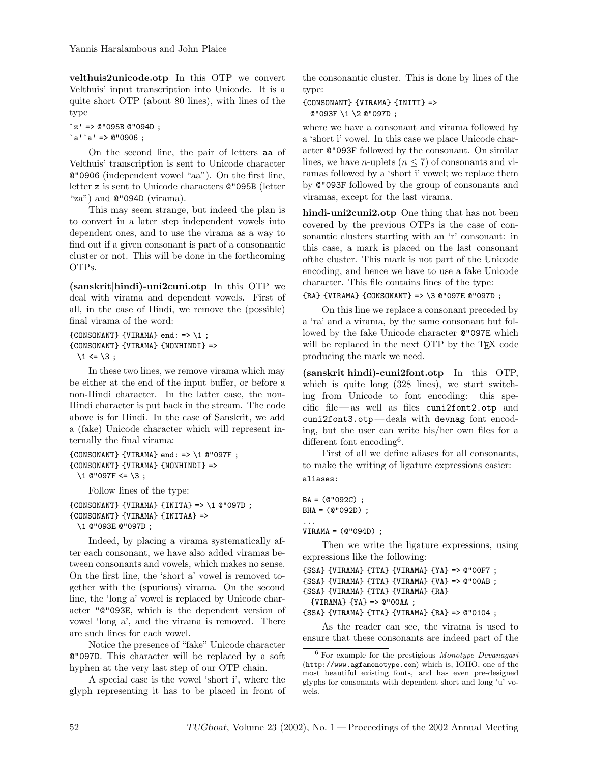velthuis2unicode.otp In this OTP we convert Velthuis' input transcription into Unicode. It is a quite short OTP (about 80 lines), with lines of the type

 $z' = 0$ "095B @"094D;  $a'$ 'a' => 0"0906 ;

On the second line, the pair of letters aa of Velthuis' transcription is sent to Unicode character @"0906 (independent vowel "aa"). On the first line, letter z is sent to Unicode characters @"095B (letter "za") and  $\mathbb{C}$ "094D (virama).

This may seem strange, but indeed the plan is to convert in a later step independent vowels into dependent ones, and to use the virama as a way to find out if a given consonant is part of a consonantic cluster or not. This will be done in the forthcoming OTPs.

(sanskrit|hindi)-uni2cuni.otp In this OTP we deal with virama and dependent vowels. First of all, in the case of Hindi, we remove the (possible) final virama of the word:

```
{fCONSONANT} {VIRAMA} end: => \1 ;
{CONSONANT} {VIRAMA} {NONHINDI} =>
  \backslash1 <= \backslash3;
```
In these two lines, we remove virama which may be either at the end of the input buffer, or before a non-Hindi character. In the latter case, the non-Hindi character is put back in the stream. The code above is for Hindi. In the case of Sanskrit, we add a (fake) Unicode character which will represent internally the final virama:

```
{CONSONANT} {VIRAMA} end: => \1 @"097F ;
{CONSONANT} {VIRAMA} {NONHINDI} =>
 \1 @"097F <= \3;
```
Follow lines of the type: {CONSONANT} {VIRAMA} {INITA} => \1 @"097D ; {CONSONANT} {VIRAMA} {INITAA} => \1 @"093E @"097D ;

Indeed, by placing a virama systematically after each consonant, we have also added viramas between consonants and vowels, which makes no sense. On the first line, the 'short a' vowel is removed together with the (spurious) virama. On the second line, the 'long a' vowel is replaced by Unicode character "@"093E, which is the dependent version of vowel 'long a', and the virama is removed. There are such lines for each vowel.

Notice the presence of "fake" Unicode character @"097D. This character will be replaced by a soft hyphen at the very last step of our OTP chain.

A special case is the vowel 'short i', where the glyph representing it has to be placed in front of the consonantic cluster. This is done by lines of the type:

#### {CONSONANT} {VIRAMA} {INITI} => @"093F \1 \2 @"097D ;

where we have a consonant and virama followed by a 'short i' vowel. In this case we place Unicode character @"093F followed by the consonant. On similar lines, we have *n*-uplets ( $n \leq 7$ ) of consonants and viramas followed by a 'short i' vowel; we replace them by @"093F followed by the group of consonants and viramas, except for the last virama.

hindi-uni2cuni2.otp One thing that has not been covered by the previous OTPs is the case of consonantic clusters starting with an 'r' consonant: in this case, a mark is placed on the last consonant ofthe cluster. This mark is not part of the Unicode encoding, and hence we have to use a fake Unicode character. This file contains lines of the type:

## {RA} {VIRAMA} {CONSONANT} => \3 @"097E @"097D ;

On this line we replace a consonant preceded by a 'ra' and a virama, by the same consonant but followed by the fake Unicode character @"097E which will be replaced in the next OTP by the T<sub>EX</sub> code producing the mark we need.

(sanskrit|hindi)-cuni2font.otp In this OTP, which is quite long  $(328 \text{ lines})$ , we start switching from Unicode to font encoding: this specific file — as well as files cuni2font2.otp and cuni2font3.otp— deals with devnag font encoding, but the user can write his/her own files for a different font encoding<sup>6</sup>.

First of all we define aliases for all consonants, to make the writing of ligature expressions easier: aliases:

 $BA = (@"092C)$ ; BHA = (@"092D) ; ... VIRAMA = (@"094D) ;

Then we write the ligature expressions, using expressions like the following:

```
{SSA} {VIRAMA} {TTA} {VIRAMA} {YA} => @"00F7 ;
```

```
{SSA} {VIRAMA} {TTA} {VIRAMA} {VA} => @"00AB ;
```

```
{SSA} {VIRAMA} {TTA} {VIRAMA} {RA}
```

```
{VIRAMA} {YA} => @"00AA ;
```
{SSA} {VIRAMA} {TTA} {VIRAMA} {RA} => @"0104 ;

As the reader can see, the virama is used to ensure that these consonants are indeed part of the

 $6$  For example for the prestigious *Monotype Devanagari* (http://www.agfamonotype.com) which is, IOHO, one of the most beautiful existing fonts, and has even pre-designed glyphs for consonants with dependent short and long 'u' vowels.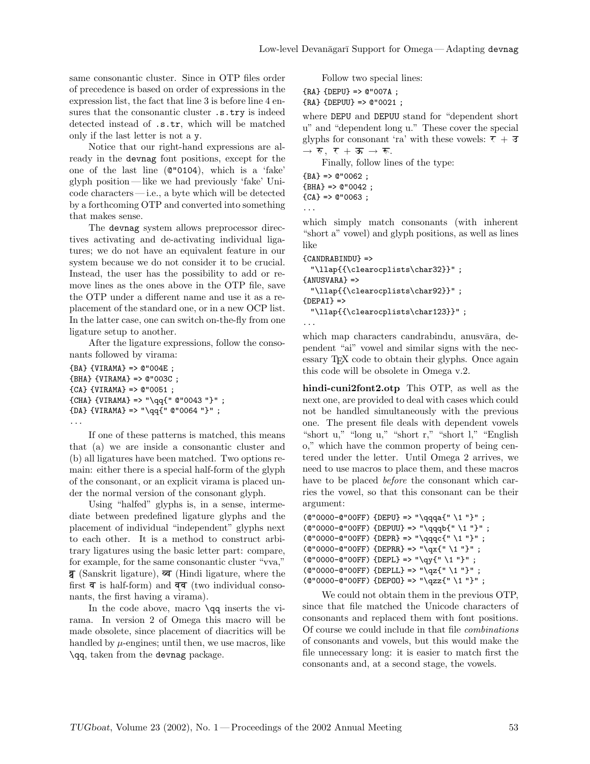same consonantic cluster. Since in OTP files order of precedence is based on order of expressions in the expression list, the fact that line 3 is before line 4 ensures that the consonantic cluster  $.s.try$  is indeed detected instead of .s.tr, which will be matched only if the last letter is not a y.

Notice that our right-hand expressions are already in the devnag font positions, except for the one of the last line (@"0104), which is a 'fake' glyph position — like we had previously 'fake' Unicode characters— i.e., a byte which will be detected by a forthcoming OTP and converted into something that makes sense.

The devnag system allows preprocessor directives activating and de-activating individual ligatures; we do not have an equivalent feature in our system because we do not consider it to be crucial. Instead, the user has the possibility to add or remove lines as the ones above in the OTP file, save the OTP under a different name and use it as a replacement of the standard one, or in a new OCP list. In the latter case, one can switch on-the-fly from one ligature setup to another.

After the ligature expressions, follow the consonants followed by virama:

```
{BA} {VIRAMA} => @"004E ;
{BHA} {VIRAMA} => @"003C ;
{CA} {VIRAMA} => @"0051 ;
{CHA} {VIRAMA} => "\qq{" @"0043 "}" ;
{DA} {VIRAMA} => "\qq{" @"0064 "}" ;
...
```
If one of these patterns is matched, this means that (a) we are inside a consonantic cluster and (b) all ligatures have been matched. Two options remain: either there is a special half-form of the glyph of the consonant, or an explicit virama is placed under the normal version of the consonant glyph.

Using "halfed" glyphs is, in a sense, intermediate between predefined ligature glyphs and the placement of individual "independent" glyphs next to each other. It is a method to construct arbitrary ligatures using the basic letter part: compare, for example, for the same consonantic cluster "vva,"  $\overline{g}$  (Sanskrit ligature),  $\overline{\varphi}$  (Hindi ligature, where the first  $\overline{\mathsf{q}}$  is half-form) and  $\overline{\mathsf{q}}$  (two individual consonants, the first having a virama).

In the code above, macro **\qq** inserts the virama. In version 2 of Omega this macro will be made obsolete, since placement of diacritics will be handled by  $\mu$ -engines; until then, we use macros, like \qq, taken from the devnag package.

Follow two special lines:

{RA} {DEPU} => @"007A ; {RA} {DEPUU} => @"0021 ;

where DEPU and DEPUU stand for "dependent short u" and "dependent long u." These cover the special glyphs for consonant 'ra' with these vowels:  $\tau + \bar{d}$  $\rightarrow$   $\overline{v}$ ,  $\overline{v}$  +  $\overline{x}$   $\rightarrow$   $\overline{w}$ .

Finally, follow lines of the type:

 ${BA}$  =>  $@$ "0062;  ${BHA}$  =>  $@"0042$ ;  ${CA}$  => @"0063; ...

which simply match consonants (with inherent "short a" vowel) and glyph positions, as well as lines like

```
{CANDRABINDU} =>
 "\llap{{\clearocplists\char32}}" ;
{ANUSVARA} =>
 "\llap{{\clearocplists\char92}}" ;
{DEPAI} =>
 "\llap{{\clearocplists\char123}}" ;
...
```
which map characters candrabindu, anusvāra, dependent "ai" vowel and similar signs with the necessary TEX code to obtain their glyphs. Once again this code will be obsolete in Omega v.2.

hindi-cuni2font2.otp This OTP, as well as the next one, are provided to deal with cases which could not be handled simultaneously with the previous one. The present file deals with dependent vowels "short u," "long u," "short r," "short l," "English o," which have the common property of being centered under the letter. Until Omega 2 arrives, we need to use macros to place them, and these macros have to be placed *before* the consonant which carries the vowel, so that this consonant can be their argument:

```
(@"0000-@"00FF) {DEPU} => "\qqqa{" \1 "}" ;
(@"0000-@"00FF) {DEPUU} => "\qqqb{" \1 "}" ;
(@"0000-@"00FF) {DEPR} => "\qqqc{" \1 "}" ;
(@"0000-@"00FF) {DEPRR} => "\qx{" \1 "}" ;
(@"0000-@"00FF) {DEPL} => "\qy{" \1 "}" ;
(@"0000-@"00FF) {DEPLL} => "\qz{" \1 "}" ;
(@"0000-@"00FF) {DEPOO} => "\qzz{" \1 "}" ;
```
We could not obtain them in the previous OTP, since that file matched the Unicode characters of consonants and replaced them with font positions. Of course we could include in that file combinations of consonants and vowels, but this would make the file unnecessary long: it is easier to match first the consonants and, at a second stage, the vowels.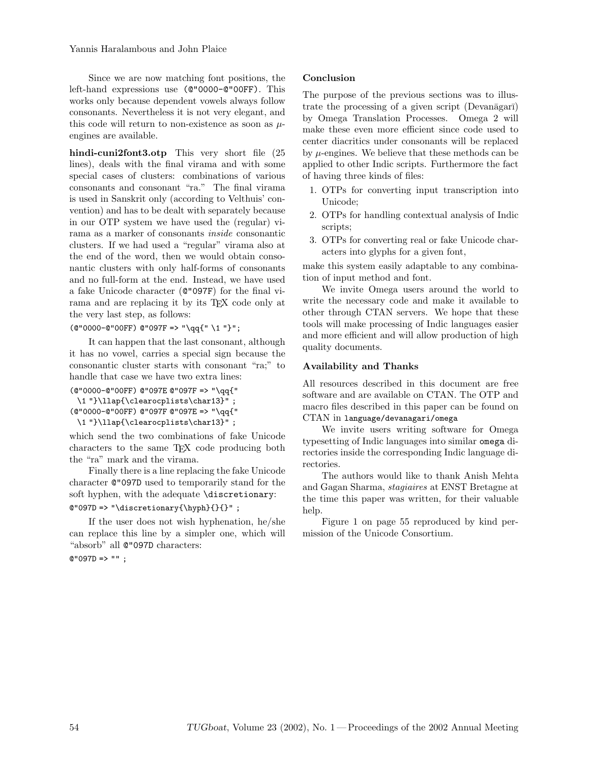Since we are now matching font positions, the left-hand expressions use (@"0000-@"00FF). This works only because dependent vowels always follow consonants. Nevertheless it is not very elegant, and this code will return to non-existence as soon as  $\mu$ engines are available.

hindi-cuni2font3.otp This very short file (25 lines), deals with the final virama and with some special cases of clusters: combinations of various consonants and consonant "ra." The final virama is used in Sanskrit only (according to Velthuis' convention) and has to be dealt with separately because in our OTP system we have used the (regular) virama as a marker of consonants inside consonantic clusters. If we had used a "regular" virama also at the end of the word, then we would obtain consonantic clusters with only half-forms of consonants and no full-form at the end. Instead, we have used a fake Unicode character (@"097F) for the final virama and are replacing it by its TEX code only at the very last step, as follows:

(@"0000-@"00FF) @"097F => "\qq{" \1 "}";

It can happen that the last consonant, although it has no vowel, carries a special sign because the consonantic cluster starts with consonant "ra;" to handle that case we have two extra lines:

(@"0000-@"00FF) @"097E @"097F => "\qq{" \1 "}\llap{\clearocplists\char13}" ; (@"0000-@"00FF) @"097F @"097E => "\qq{" \1 "}\llap{\clearocplists\char13}" ;

which send the two combinations of fake Unicode characters to the same TEX code producing both the "ra" mark and the virama.

Finally there is a line replacing the fake Unicode character @"097D used to temporarily stand for the soft hyphen, with the adequate \discretionary:

# @"097D => "\discretionary{\hyph}{}{}" ;

If the user does not wish hyphenation, he/she can replace this line by a simpler one, which will "absorb" all @"097D characters:

 $@ "097D =& > " " ;$ 

# Conclusion

The purpose of the previous sections was to illustrate the processing of a given script (Devanagari) by Omega Translation Processes. Omega 2 will make these even more efficient since code used to center diacritics under consonants will be replaced by  $\mu$ -engines. We believe that these methods can be applied to other Indic scripts. Furthermore the fact of having three kinds of files:

- 1. OTPs for converting input transcription into Unicode;
- 2. OTPs for handling contextual analysis of Indic scripts;
- 3. OTPs for converting real or fake Unicode characters into glyphs for a given font,

make this system easily adaptable to any combination of input method and font.

We invite Omega users around the world to write the necessary code and make it available to other through CTAN servers. We hope that these tools will make processing of Indic languages easier and more efficient and will allow production of high quality documents.

# Availability and Thanks

All resources described in this document are free software and are available on CTAN. The OTP and macro files described in this paper can be found on CTAN in language/devanagari/omega

We invite users writing software for Omega typesetting of Indic languages into similar omega directories inside the corresponding Indic language directories.

The authors would like to thank Anish Mehta and Gagan Sharma, stagiaires at ENST Bretagne at the time this paper was written, for their valuable help.

Figure 1 on page 55 reproduced by kind permission of the Unicode Consortium.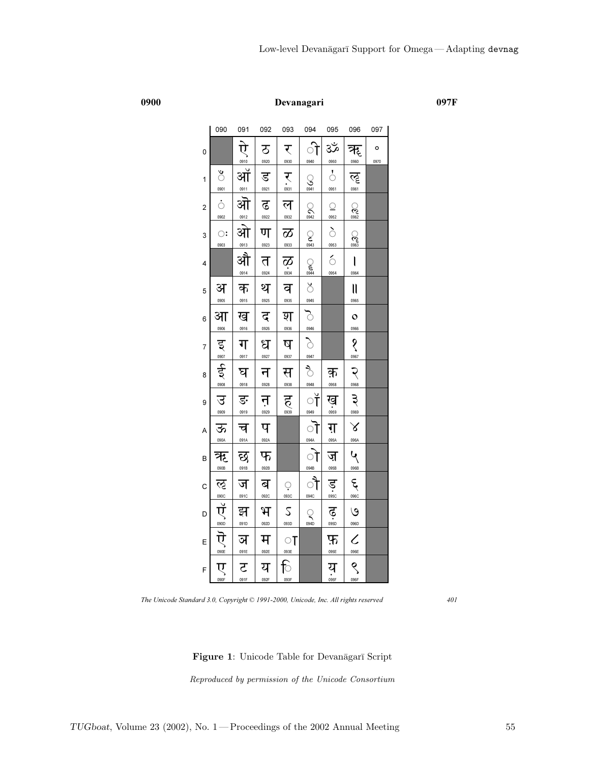0900 Devanagari 097F

|                | <b>OAN</b>              | <b>091</b>           | 092                        | <b>093</b>                         | U94                                                                                                 | <b>095</b>                    | <b>096</b>                      | 097       |
|----------------|-------------------------|----------------------|----------------------------|------------------------------------|-----------------------------------------------------------------------------------------------------|-------------------------------|---------------------------------|-----------|
| 0              |                         | ्<br>ऐ<br>0910       | ठ<br>0920                  | र<br>0930                          | ी<br>0940                                                                                           | ૐ<br>0950                     | ॠ<br>0960                       | o<br>0970 |
| 1              | ँ<br>0901               | —<br>ऑ<br>ओ          | ड<br>0921                  | र्<br>:<br>$\frac{1}{\sqrt{25}}$   | $S_{\frac{0941}{}}$                                                                                 | $\circ$<br>0951               | ॡ<br>0961                       |           |
| 2              | ं<br>0902               |                      | ढ<br>0922                  | ल<br>0932                          | $\bigotimes_{0942}$                                                                                 | $\frac{\circ}{\circ}$<br>0952 | $\frac{1}{\sqrt{2}}$            |           |
| 3              | $\ddot{\odot}$<br>0903  | <u>®12</u><br>ओ      | ण<br>0923                  | $\frac{1}{\infty}$                 | $\sum_{0.943}$                                                                                      | $rac{1}{\sqrt{1}}$            | <u>C</u>                        |           |
| 4              |                         | ┈<br>औ<br>0914       | त<br>0924                  | $\overline{\mathbf{Q}}$<br>$\cdot$ |                                                                                                     | $\acute{\circ}$<br>0954       | $\overline{\mathbf{I}}$<br>0964 |           |
| 5              | अ<br>0905               | क<br>0915            | थ<br>                      | व<br>0935                          |                                                                                                     |                               | $\mathbf l$<br>0965             |           |
| 6              | आ<br>0906               | ख<br>0916            | द<br>0926                  | श<br>0936                          |                                                                                                     |                               | $\circ$<br>0966                 |           |
| $\overline{7}$ |                         | ग<br>0917            | ध<br>0927                  | ष<br>0937                          | $M_{\frac{10}{10}}$ $M_{\frac{10}{10}}$ $M_{\frac{10}{10}}$ $M_{\frac{10}{10}}$ $M_{\frac{10}{10}}$ |                               | $\hat{\mathcal{S}}$<br>0967     |           |
| 8              | 50 000 000              | घ<br>0918            | न<br>0928                  | स<br>0938                          | 0948                                                                                                | क़<br>0958                    | $\sum_{\text{0.068}}$           |           |
| 9              | उ<br>0909               | ङ<br>0919            | न<br><sub>0929</sub>       | $\sum_{0939}$                      | ॉ<br>0949                                                                                           | ख<br>                         | $\sum_{\text{odd}}$             |           |
| A              | ऊ<br>090A               | च                    | प<br>$\frac{092A}{\qquad}$ |                                    | ॊ                                                                                                   | ग़<br>095A                    |                                 |           |
| B              | ऋ<br><u>‱</u>           | $rac{1}{55}$<br>091B | फ<br>092B                  |                                    | $\frac{1}{\sqrt{1}}$<br>094B                                                                        | ज़<br>095B                    | $\frac{\frac{1}{100}}{2}$       |           |
| C              |                         | ज<br>091C            | ब<br>092C                  | $\frac{1}{\sqrt{2}}$               | ौ<br>094C                                                                                           | ड़<br>                        | <b>E</b>                        |           |
| D              |                         | झ<br>091D            | भ<br>092D                  | $\mathcal{L}$<br>093D              | $\begin{array}{c}\n\bigcirc \\ \hline\n\end{array}$                                                 | $\mathbf{\dot{e}}$            | $\circ$                         |           |
| Ε              | SOLUTION                | ञ<br>091E            | म<br>092E                  | ा<br>093E                          |                                                                                                     | फ़<br>095E                    | $\overline{\mathbf{C}}$         |           |
| F              | $\overline{\mathbf{U}}$ | ट<br>                | य<br>092F                  | ि<br>093F                          |                                                                                                     | य<br><sub>अज्ञा</sub>         | $\frac{1}{\sqrt{2}}$            |           |

The Unicode Standard 3.0, Copyright © 1991-2000, Unicode, Inc. All rights reserved 401

Figure 1: Unicode Table for Devanāgarī Script

Reproduced by permission of the Unicode Consortium